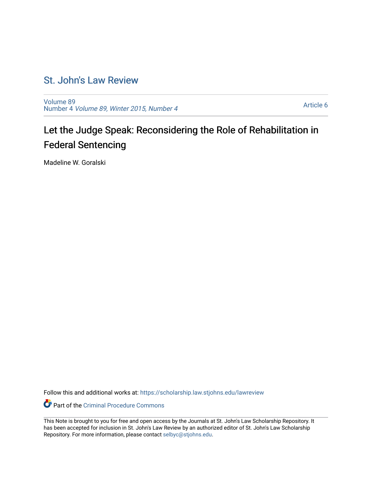## [St. John's Law Review](https://scholarship.law.stjohns.edu/lawreview)

[Volume 89](https://scholarship.law.stjohns.edu/lawreview/vol89) Number 4 [Volume 89, Winter 2015, Number 4](https://scholarship.law.stjohns.edu/lawreview/vol89/iss4)

[Article 6](https://scholarship.law.stjohns.edu/lawreview/vol89/iss4/6) 

# Let the Judge Speak: Reconsidering the Role of Rehabilitation in Federal Sentencing

Madeline W. Goralski

Follow this and additional works at: [https://scholarship.law.stjohns.edu/lawreview](https://scholarship.law.stjohns.edu/lawreview?utm_source=scholarship.law.stjohns.edu%2Flawreview%2Fvol89%2Fiss4%2F6&utm_medium=PDF&utm_campaign=PDFCoverPages) 

Part of the [Criminal Procedure Commons](http://network.bepress.com/hgg/discipline/1073?utm_source=scholarship.law.stjohns.edu%2Flawreview%2Fvol89%2Fiss4%2F6&utm_medium=PDF&utm_campaign=PDFCoverPages) 

This Note is brought to you for free and open access by the Journals at St. John's Law Scholarship Repository. It has been accepted for inclusion in St. John's Law Review by an authorized editor of St. John's Law Scholarship Repository. For more information, please contact [selbyc@stjohns.edu.](mailto:selbyc@stjohns.edu)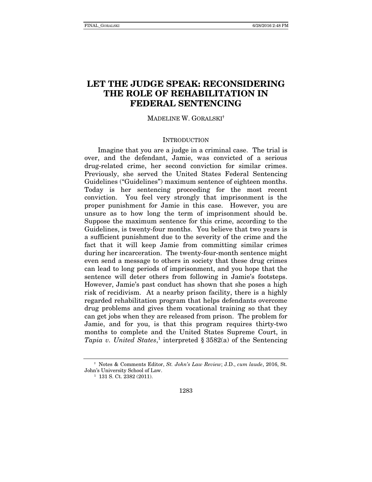### **LET THE JUDGE SPEAK: RECONSIDERING THE ROLE OF REHABILITATION IN FEDERAL SENTENCING**

#### MADELINE W. GORALSKI**†**

#### **INTRODUCTION**

Imagine that you are a judge in a criminal case. The trial is over, and the defendant, Jamie, was convicted of a serious drug-related crime, her second conviction for similar crimes. Previously, she served the United States Federal Sentencing Guidelines ("Guidelines") maximum sentence of eighteen months. Today is her sentencing proceeding for the most recent conviction. You feel very strongly that imprisonment is the proper punishment for Jamie in this case. However, you are unsure as to how long the term of imprisonment should be. Suppose the maximum sentence for this crime, according to the Guidelines, is twenty-four months. You believe that two years is a sufficient punishment due to the severity of the crime and the fact that it will keep Jamie from committing similar crimes during her incarceration. The twenty-four-month sentence might even send a message to others in society that these drug crimes can lead to long periods of imprisonment, and you hope that the sentence will deter others from following in Jamie's footsteps. However, Jamie's past conduct has shown that she poses a high risk of recidivism. At a nearby prison facility, there is a highly regarded rehabilitation program that helps defendants overcome drug problems and gives them vocational training so that they can get jobs when they are released from prison. The problem for Jamie, and for you, is that this program requires thirty-two months to complete and the United States Supreme Court, in Tapia v. United States,<sup>1</sup> interpreted  $\S 3582(a)$  of the Sentencing

**<sup>†</sup>** Notes & Comments Editor, St. John's Law Review; J.D., cum laude, 2016, St. John's University School of Law. 1 131 S. Ct. 2382 (2011).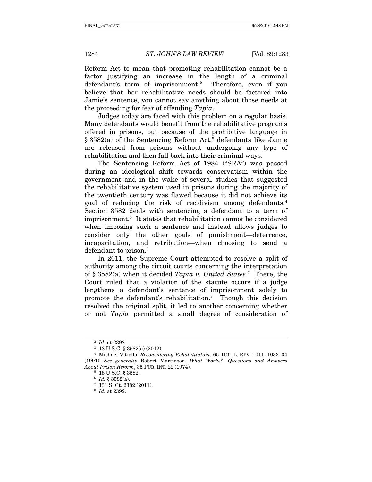Reform Act to mean that promoting rehabilitation cannot be a factor justifying an increase in the length of a criminal defendant's term of imprisonment.<sup>2</sup> Therefore, even if you believe that her rehabilitative needs should be factored into Jamie's sentence, you cannot say anything about those needs at the proceeding for fear of offending Tapia.

Judges today are faced with this problem on a regular basis. Many defendants would benefit from the rehabilitative programs offered in prisons, but because of the prohibitive language in § 3582(a) of the Sentencing Reform Act,<sup>3</sup> defendants like Jamie are released from prisons without undergoing any type of rehabilitation and then fall back into their criminal ways.

The Sentencing Reform Act of 1984 ("SRA") was passed during an ideological shift towards conservatism within the government and in the wake of several studies that suggested the rehabilitative system used in prisons during the majority of the twentieth century was flawed because it did not achieve its goal of reducing the risk of recidivism among defendants.4 Section 3582 deals with sentencing a defendant to a term of imprisonment.5 It states that rehabilitation cannot be considered when imposing such a sentence and instead allows judges to consider only the other goals of punishment—deterrence, incapacitation, and retribution—when choosing to send a defendant to prison.<sup>6</sup>

In 2011, the Supreme Court attempted to resolve a split of authority among the circuit courts concerning the interpretation of § 3582(a) when it decided Tapia v. United States.<sup>7</sup> There, the Court ruled that a violation of the statute occurs if a judge lengthens a defendant's sentence of imprisonment solely to promote the defendant's rehabilitation.<sup>8</sup> Though this decision resolved the original split, it led to another concerning whether or not Tapia permitted a small degree of consideration of

<sup>&</sup>lt;sup>2</sup> Id. at 2392.<br><sup>3</sup> 18 U.S.C. § 3582(a) (2012).<br><sup>4</sup> Michael Vitiello, *Reconsidering Rehabilitation*, 65 TUL. L. REV. 1011, 1033–34 (1991). See generally Robert Martinson, What Works?—Questions and Answers About Prison Reform, 35 PUB. INT. 22 (1974).<br>  $\begin{array}{r} 5 & 18 \text{ U.S.C.} \ \text{\$} & 3582\text{a}. \\ 6 & Id. \ \text{\$} & 3582\text{a}. \end{array}$ <br>  $\begin{array}{r} 7 & 131 \text{ S. Ct.} & 2382 \text{ (2011).} \\ 8 & Id. \text{ at } 2392. \end{array}$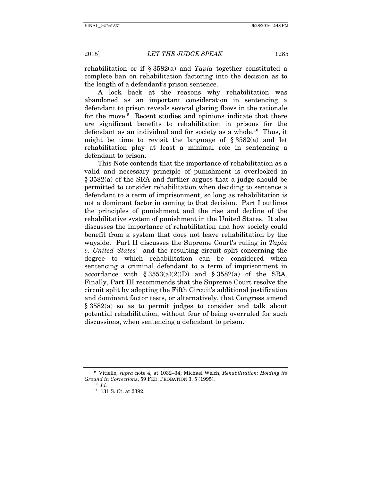rehabilitation or if  $\S$  3582(a) and Tapia together constituted a complete ban on rehabilitation factoring into the decision as to the length of a defendant's prison sentence.

A look back at the reasons why rehabilitation was abandoned as an important consideration in sentencing a defendant to prison reveals several glaring flaws in the rationale for the move.<sup>9</sup> Recent studies and opinions indicate that there are significant benefits to rehabilitation in prisons for the defendant as an individual and for society as a whole.<sup>10</sup> Thus, it might be time to revisit the language of  $\S 3582(a)$  and let rehabilitation play at least a minimal role in sentencing a defendant to prison.

This Note contends that the importance of rehabilitation as a valid and necessary principle of punishment is overlooked in § 3582(a) of the SRA and further argues that a judge should be permitted to consider rehabilitation when deciding to sentence a defendant to a term of imprisonment, so long as rehabilitation is not a dominant factor in coming to that decision. Part I outlines the principles of punishment and the rise and decline of the rehabilitative system of punishment in the United States. It also discusses the importance of rehabilitation and how society could benefit from a system that does not leave rehabilitation by the wayside. Part II discusses the Supreme Court's ruling in Tapia v. United States<sup>11</sup> and the resulting circuit split concerning the degree to which rehabilitation can be considered when sentencing a criminal defendant to a term of imprisonment in accordance with  $\S 3553(a)(2)(D)$  and  $\S 3582(a)$  of the SRA. Finally, Part III recommends that the Supreme Court resolve the circuit split by adopting the Fifth Circuit's additional justification and dominant factor tests, or alternatively, that Congress amend § 3582(a) so as to permit judges to consider and talk about potential rehabilitation, without fear of being overruled for such discussions, when sentencing a defendant to prison.

<sup>9</sup> Vitiello, supra note 4, at 1032–34; Michael Welch, Rehabilitation: Holding its Ground in Corrections, 59 FED. PROBATION 3, 5 (1995).<br> $^{10}$  Id.

<sup>11</sup> 131 S. Ct. at 2392.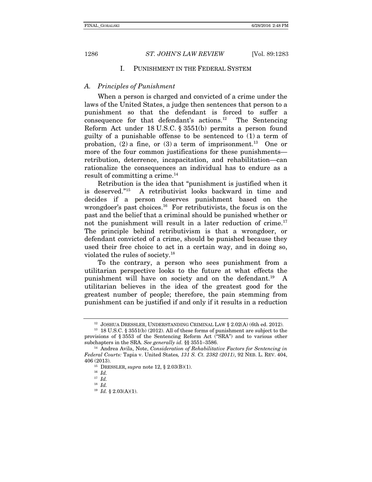#### I. PUNISHMENT IN THE FEDERAL SYSTEM

#### A. Principles of Punishment

When a person is charged and convicted of a crime under the laws of the United States, a judge then sentences that person to a punishment so that the defendant is forced to suffer a consequence for that defendant's actions.<sup>12</sup> The Sentencing Reform Act under 18 U.S.C. § 3551(b) permits a person found guilty of a punishable offense to be sentenced to (1) a term of probation, (2) a fine, or (3) a term of imprisonment.<sup>13</sup> One or more of the four common justifications for these punishments retribution, deterrence, incapacitation, and rehabilitation—can rationalize the consequences an individual has to endure as a result of committing a crime.<sup>14</sup>

Retribution is the idea that "punishment is justified when it is deserved."15 A retributivist looks backward in time and decides if a person deserves punishment based on the wrongdoer's past choices.<sup>16</sup> For retributivists, the focus is on the past and the belief that a criminal should be punished whether or not the punishment will result in a later reduction of crime.<sup>17</sup> The principle behind retributivism is that a wrongdoer, or defendant convicted of a crime, should be punished because they used their free choice to act in a certain way, and in doing so, violated the rules of society.18

To the contrary, a person who sees punishment from a utilitarian perspective looks to the future at what effects the punishment will have on society and on the defendant.19 A utilitarian believes in the idea of the greatest good for the greatest number of people; therefore, the pain stemming from punishment can be justified if and only if it results in a reduction

<sup>&</sup>lt;sup>12</sup> JOSHUA DRESSLER, UNDERSTANDING CRIMINAL LAW § 2.02(A) (6th ed. 2012).<br><sup>13</sup> 18 U.S.C. § 3551(b) (2012). All of these forms of punishment are subject to the

provisions of § 3553 of the Sentencing Reform Act ("SRA") and to various other subchapters in the SRA. See generally id. §§ 3551–3586.

 $14$  Andrea Avila, Note, Consideration of Rehabilitative Factors for Sentencing in Federal Courts: Tapia v. United States, 131 S. Ct. 2382 (2011), 92 NEB. L. REV. 404, 406 (2013).<br><sup>15</sup> DRESSLER, *supra* note 12, § 2.03(B)(1).<br><sup>16</sup> Id.

 $17$  *Id.* 

 $18$  *Id.* 

 $19$  *Id.* § 2.03(A)(1).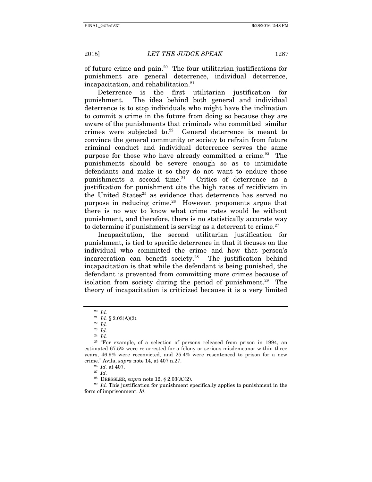of future crime and pain.<sup>20</sup> The four utilitarian justifications for punishment are general deterrence, individual deterrence, incapacitation, and rehabilitation.<sup>21</sup>

Deterrence is the first utilitarian justification for punishment. The idea behind both general and individual deterrence is to stop individuals who might have the inclination to commit a crime in the future from doing so because they are aware of the punishments that criminals who committed similar crimes were subjected to.<sup>22</sup> General deterrence is meant to convince the general community or society to refrain from future criminal conduct and individual deterrence serves the same purpose for those who have already committed a crime.<sup>23</sup> The punishments should be severe enough so as to intimidate defendants and make it so they do not want to endure those punishments a second time.<sup>24</sup> Critics of deterrence as a justification for punishment cite the high rates of recidivism in the United States<sup>25</sup> as evidence that deterrence has served no purpose in reducing crime. $26$  However, proponents argue that there is no way to know what crime rates would be without punishment, and therefore, there is no statistically accurate way to determine if punishment is serving as a deterrent to crime. $27$ 

Incapacitation, the second utilitarian justification for punishment, is tied to specific deterrence in that it focuses on the individual who committed the crime and how that person's incarceration can benefit society.28 The justification behind incapacitation is that while the defendant is being punished, the defendant is prevented from committing more crimes because of isolation from society during the period of punishment.<sup>29</sup> The theory of incapacitation is criticized because it is a very limited

 $20$  *Id.* 

<sup>&</sup>lt;sup>21</sup> *Id.* § 2.03(A)(2).<br><sup>22</sup> *Id.* 

 $23$  *Id.* 

 $^{24}$  *Id.* 

 $25$  "For example, of a selection of persons released from prison in 1994, an estimated 67.5% were re-arrested for a felony or serious misdemeanor within three years, 46.9% were reconvicted, and 25.4% were resentenced to prison for a new crime." Avila, *supra* note 14, at 407 n.27.<br><sup>26</sup> Id. at 407.<br><sup>27</sup> Id. <sup>28</sup> DRESSLER, *supra* note 12, § 2.03(A)(2).

 $29$  Id. This justification for punishment specifically applies to punishment in the form of imprisonment. Id.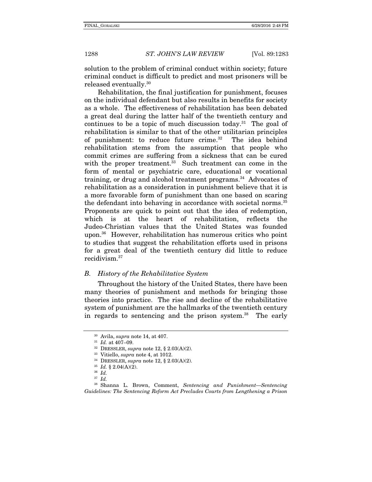solution to the problem of criminal conduct within society; future criminal conduct is difficult to predict and most prisoners will be released eventually.30

Rehabilitation, the final justification for punishment, focuses on the individual defendant but also results in benefits for society as a whole. The effectiveness of rehabilitation has been debated a great deal during the latter half of the twentieth century and continues to be a topic of much discussion today.<sup>31</sup> The goal of rehabilitation is similar to that of the other utilitarian principles of punishment: to reduce future crime.32 The idea behind rehabilitation stems from the assumption that people who commit crimes are suffering from a sickness that can be cured with the proper treatment.<sup>33</sup> Such treatment can come in the form of mental or psychiatric care, educational or vocational training, or drug and alcohol treatment programs.<sup>34</sup> Advocates of rehabilitation as a consideration in punishment believe that it is a more favorable form of punishment than one based on scaring the defendant into behaving in accordance with societal norms.<sup>35</sup> Proponents are quick to point out that the idea of redemption, which is at the heart of rehabilitation, reflects the Judeo-Christian values that the United States was founded upon.36 However, rehabilitation has numerous critics who point to studies that suggest the rehabilitation efforts used in prisons for a great deal of the twentieth century did little to reduce recidivism.37

#### B. History of the Rehabilitative System

Throughout the history of the United States, there have been many theories of punishment and methods for bringing those theories into practice. The rise and decline of the rehabilitative system of punishment are the hallmarks of the twentieth century in regards to sentencing and the prison system.<sup>38</sup> The early

<sup>&</sup>lt;sup>30</sup> Avila, *supra* note 14, at 407.<br><sup>31</sup> Id. at 407–09.<br><sup>32</sup> DRESSLER, *supra* note 12, § 2.03(A)(2).<br><sup>33</sup> Vitiello, *supra* note 4, at 1012.<br><sup>34</sup> DRESSLER, *supra* note 12, § 2.03(A)(2).<br><sup>35</sup> Id. § 2.04(A)(2).<br><sup>36</sup> Id.

<sup>37</sup> Id.

<sup>38</sup> Shanna L. Brown, Comment, Sentencing and Punishment—Sentencing Guidelines: The Sentencing Reform Act Precludes Courts from Lengthening a Prison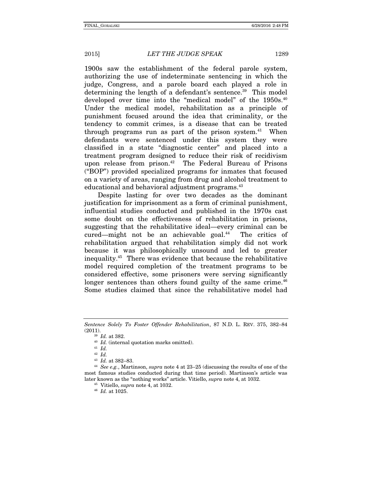1900s saw the establishment of the federal parole system, authorizing the use of indeterminate sentencing in which the judge, Congress, and a parole board each played a role in determining the length of a defendant's sentence.<sup>39</sup> This model developed over time into the "medical model" of the 1950s.<sup>40</sup> Under the medical model, rehabilitation as a principle of punishment focused around the idea that criminality, or the tendency to commit crimes, is a disease that can be treated through programs run as part of the prison system.<sup>41</sup> When defendants were sentenced under this system they were classified in a state "diagnostic center" and placed into a treatment program designed to reduce their risk of recidivism upon release from prison.<sup>42</sup> The Federal Bureau of Prisons ("BOP") provided specialized programs for inmates that focused on a variety of areas, ranging from drug and alcohol treatment to educational and behavioral adjustment programs.<sup>43</sup>

Despite lasting for over two decades as the dominant justification for imprisonment as a form of criminal punishment, influential studies conducted and published in the 1970s cast some doubt on the effectiveness of rehabilitation in prisons, suggesting that the rehabilitative ideal—every criminal can be cured—might not be an achievable goal.44 The critics of rehabilitation argued that rehabilitation simply did not work because it was philosophically unsound and led to greater inequality.45 There was evidence that because the rehabilitative model required completion of the treatment programs to be considered effective, some prisoners were serving significantly longer sentences than others found guilty of the same crime.<sup>46</sup> Some studies claimed that since the rehabilitative model had

Sentence Solely To Foster Offender Rehabilitation, 87 N.D. L. REV. 375, 382–84 (2011).

<sup>&</sup>lt;sup>39</sup> Id. at 382.<br><sup>40</sup> Id. (internal quotation marks omitted).<br><sup>41</sup> Id

 $\frac{42}{43}$  *Id.* at 382–83.

<sup>&</sup>lt;sup>44</sup> See e.g., Martinson, supra note 4 at  $23-25$  (discussing the results of one of the most famous studies conducted during that time period). Martinson's article was later known as the "nothing works" article. Vitiello, *supra* note 4, at 1032.<br><sup>45</sup> Vitiello, *supra* note 4, at 1032.<br><sup>46</sup> Id. at 1025.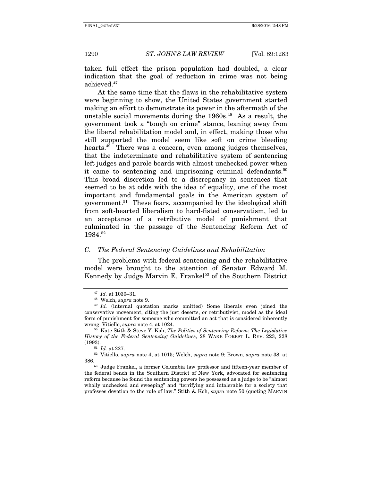taken full effect the prison population had doubled, a clear indication that the goal of reduction in crime was not being achieved.47

At the same time that the flaws in the rehabilitative system were beginning to show, the United States government started making an effort to demonstrate its power in the aftermath of the unstable social movements during the  $1960s<sup>48</sup>$  As a result, the government took a "tough on crime" stance, leaning away from the liberal rehabilitation model and, in effect, making those who still supported the model seem like soft on crime bleeding hearts.<sup>49</sup> There was a concern, even among judges themselves, that the indeterminate and rehabilitative system of sentencing left judges and parole boards with almost unchecked power when it came to sentencing and imprisoning criminal defendants.<sup>50</sup> This broad discretion led to a discrepancy in sentences that seemed to be at odds with the idea of equality, one of the most important and fundamental goals in the American system of government.51 These fears, accompanied by the ideological shift from soft-hearted liberalism to hard-fisted conservatism, led to an acceptance of a retributive model of punishment that culminated in the passage of the Sentencing Reform Act of 1984.52

#### C. The Federal Sentencing Guidelines and Rehabilitation

The problems with federal sentencing and the rehabilitative model were brought to the attention of Senator Edward M. Kennedy by Judge Marvin E. Frankel<sup>53</sup> of the Southern District

History of the Federal Sentencing Guidelines, 28 WAKE FOREST L. REV. 223, 228 (1993).<br><sup>51</sup> Id. at 227.<br><sup>52</sup> Vitiello, *supra* note 4, at 1015; Welch, *supra* note 9; Brown, *supra* note 38, at

386. 53 Judge Frankel, a former Columbia law professor and fifteen-year member of

the federal bench in the Southern District of New York, advocated for sentencing reform because he found the sentencing powers he possessed as a judge to be "almost wholly unchecked and sweeping" and "terrifying and intolerable for a society that professes devotion to the rule of law." Stith & Koh, supra note 50 (quoting MARVIN

<sup>&</sup>lt;sup>47</sup> Id. at 1030–31.<br><sup>48</sup> Welch, *supra* note 9.<br><sup>49</sup> Id. (internal quotation marks omitted) Some liberals even joined the conservative movement, citing the just deserts, or retributivist, model as the ideal form of punishment for someone who committed an act that is considered inherently wrong. Vitiello, *supra* note 4, at 1024.<br><sup>50</sup> Kate Stith & Steve Y. Koh, *The Politics of Sentencing Reform: The Legislative*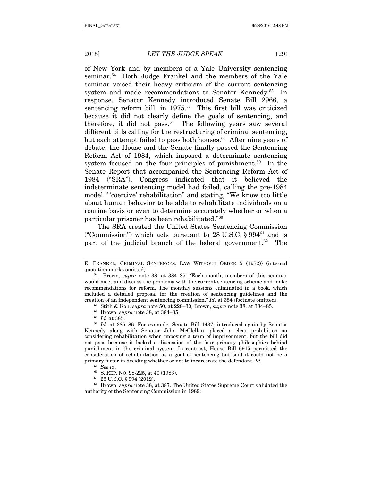of New York and by members of a Yale University sentencing seminar.<sup>54</sup> Both Judge Frankel and the members of the Yale seminar voiced their heavy criticism of the current sentencing system and made recommendations to Senator Kennedy.<sup>55</sup> In response, Senator Kennedy introduced Senate Bill 2966, a sentencing reform bill, in 1975.<sup>56</sup> This first bill was criticized because it did not clearly define the goals of sentencing, and therefore, it did not pass.<sup>57</sup> The following years saw several different bills calling for the restructuring of criminal sentencing, but each attempt failed to pass both houses.<sup>58</sup> After nine years of debate, the House and the Senate finally passed the Sentencing Reform Act of 1984, which imposed a determinate sentencing system focused on the four principles of punishment.<sup>59</sup> In the Senate Report that accompanied the Sentencing Reform Act of 1984 ("SRA"), Congress indicated that it believed the indeterminate sentencing model had failed, calling the pre-1984 model " 'coercive' rehabilitation" and stating, "We know too little about human behavior to be able to rehabilitate individuals on a routine basis or even to determine accurately whether or when a particular prisoner has been rehabilitated."60

The SRA created the United States Sentencing Commission ("Commission") which acts pursuant to  $28 \text{ U.S.C.}$  §  $994\text{°}$  and is part of the judicial branch of the federal government.<sup>62</sup> The

- 
- 

 $59$  See id.<br> $60$  S. REP. NO. 98-225. at 40 (1983).

<sup>61</sup> 28 U.S.C. § 994 (2012). <sup>62</sup> Brown, *supra* note 38, at 387. The United States Supreme Court validated the authority of the Sentencing Commission in 1989:

E. FRANKEL, CRIMINAL SENTENCES: LAW WITHOUT ORDER 5 (1972)) (internal quotation marks omitted).<br> $54$  Brown, *supra* note 38, at 384–85. "Each month, members of this seminar

would meet and discuss the problems with the current sentencing scheme and make recommendations for reform. The monthly sessions culminated in a book, which included a detailed proposal for the creation of sentencing guidelines and the creation of an independent sentencing commission." *Id.* at 384 (footnote omitted).<br><sup>55</sup> Stith & Koh, *supra* note 50, at 228–30; Brown, *supra* note 38, at 384–85.<br><sup>56</sup> Brown, *supra* note 38, at 384–85.<br><sup>57</sup> *Id.* at 38

Kennedy along with Senator John McClellan, placed a clear prohibition on considering rehabilitation when imposing a term of imprisonment, but the bill did not pass because it lacked a discussion of the four primary philosophies behind punishment in the criminal system. In contrast, House Bill 6915 permitted the consideration of rehabilitation as a goal of sentencing but said it could not be a primary factor in deciding whether or not to incarcerate the defendant. Id.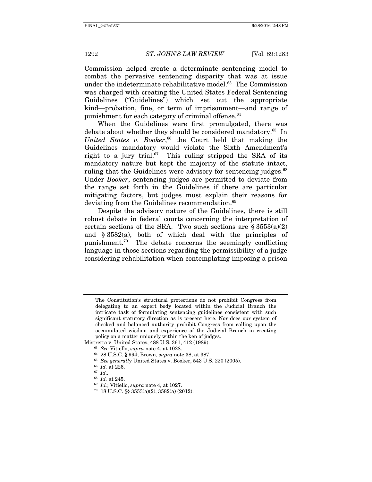Commission helped create a determinate sentencing model to combat the pervasive sentencing disparity that was at issue under the indeterminate rehabilitative model.<sup>63</sup> The Commission was charged with creating the United States Federal Sentencing Guidelines ("Guidelines") which set out the appropriate kind—probation, fine, or term of imprisonment—and range of punishment for each category of criminal offense.<sup>64</sup>

When the Guidelines were first promulgated, there was debate about whether they should be considered mandatory.<sup>65</sup> In United States v. Booker,<sup>66</sup> the Court held that making the Guidelines mandatory would violate the Sixth Amendment's right to a jury trial.<sup>67</sup> This ruling stripped the SRA of its mandatory nature but kept the majority of the statute intact, ruling that the Guidelines were advisory for sentencing judges.<sup>68</sup> Under Booker, sentencing judges are permitted to deviate from the range set forth in the Guidelines if there are particular mitigating factors, but judges must explain their reasons for deviating from the Guidelines recommendation.<sup>69</sup>

Despite the advisory nature of the Guidelines, there is still robust debate in federal courts concerning the interpretation of certain sections of the SRA. Two such sections are  $\S 3553(a)(2)$ and § 3582(a), both of which deal with the principles of punishment.70 The debate concerns the seemingly conflicting language in those sections regarding the permissibility of a judge considering rehabilitation when contemplating imposing a prison

The Constitution's structural protections do not prohibit Congress from delegating to an expert body located within the Judicial Branch the intricate task of formulating sentencing guidelines consistent with such significant statutory direction as is present here. Nor does our system of checked and balanced authority prohibit Congress from calling upon the accumulated wisdom and experience of the Judicial Branch in creating policy on a matter uniquely within the ken of judges.

Mistretta v. United States, 488 U.S. 361, 412 (1989).<br>
<sup>63</sup> See Vitiello, *supra* note 4, at 1028.<br>
<sup>64</sup> 28 U.S.C. § 994; Brown, *supra* note 38, at 387.<br>
<sup>65</sup> See generally United States v. Booker, 543 U.S. 220 (2005).<br>
<sup></sup>

<sup>&</sup>lt;sup>69</sup> Id.; Vitiello, *supra* note 4, at 1027.<br><sup>70</sup> 18 U.S.C. §§ 3553(a)(2), 3582(a) (2012).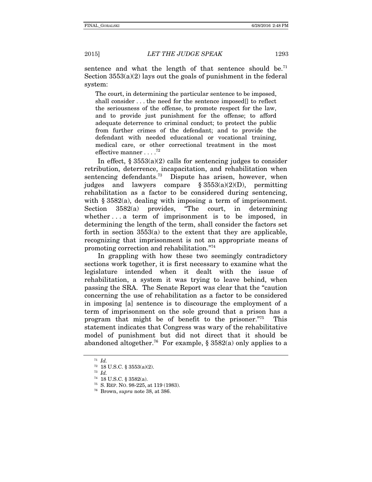sentence and what the length of that sentence should be.<sup>71</sup> Section 3553(a)(2) lays out the goals of punishment in the federal system:

The court, in determining the particular sentence to be imposed, shall consider . . . the need for the sentence imposed[] to reflect the seriousness of the offense, to promote respect for the law, and to provide just punishment for the offense; to afford adequate deterrence to criminal conduct; to protect the public from further crimes of the defendant; and to provide the defendant with needed educational or vocational training, medical care, or other correctional treatment in the most effective manner  $12$ 

In effect,  $\S 3553(a)(2)$  calls for sentencing judges to consider retribution, deterrence, incapacitation, and rehabilitation when sentencing defendants.<sup>73</sup> Dispute has arisen, however, when judges and lawyers compare  $\S 3553(a)(2)(D)$ , permitting rehabilitation as a factor to be considered during sentencing, with § 3582(a), dealing with imposing a term of imprisonment. Section 3582(a) provides, "The court, in determining whether ... a term of imprisonment is to be imposed, in determining the length of the term, shall consider the factors set forth in section 3553(a) to the extent that they are applicable, recognizing that imprisonment is not an appropriate means of promoting correction and rehabilitation."74

In grappling with how these two seemingly contradictory sections work together, it is first necessary to examine what the legislature intended when it dealt with the issue of rehabilitation, a system it was trying to leave behind, when passing the SRA. The Senate Report was clear that the "caution concerning the use of rehabilitation as a factor to be considered in imposing [a] sentence is to discourage the employment of a term of imprisonment on the sole ground that a prison has a program that might be of benefit to the prisoner."75 This statement indicates that Congress was wary of the rehabilitative model of punishment but did not direct that it should be abandoned altogether.<sup>76</sup> For example, § 3582(a) only applies to a

 $71$  Id.

<sup>&</sup>lt;sup>72</sup> 18 U.S.C. § 3553(a)(2).<br><sup>73</sup> *Id.*<br><sup>74</sup> 18 U.S.C. § 3582(a).

<sup>&</sup>lt;sup>75</sup> S. REP. NO. 98-225, at 119 (1983). <sup>76</sup> Brown, *supra* note 38, at 386.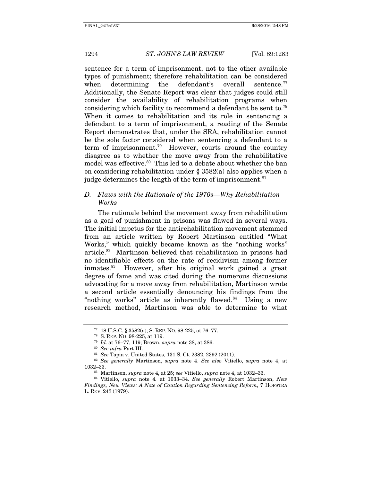sentence for a term of imprisonment, not to the other available types of punishment; therefore rehabilitation can be considered when determining the defendant's overall sentence.<sup>77</sup> Additionally, the Senate Report was clear that judges could still consider the availability of rehabilitation programs when considering which facility to recommend a defendant be sent to.78 When it comes to rehabilitation and its role in sentencing a defendant to a term of imprisonment, a reading of the Senate Report demonstrates that, under the SRA, rehabilitation cannot be the sole factor considered when sentencing a defendant to a term of imprisonment.79 However, courts around the country disagree as to whether the move away from the rehabilitative model was effective.<sup>80</sup> This led to a debate about whether the ban on considering rehabilitation under § 3582(a) also applies when a judge determines the length of the term of imprisonment.<sup>81</sup>

#### D. Flaws with the Rationale of the 1970s—Why Rehabilitation Works

The rationale behind the movement away from rehabilitation as a goal of punishment in prisons was flawed in several ways. The initial impetus for the antirehabilitation movement stemmed from an article written by Robert Martinson entitled "What Works," which quickly became known as the "nothing works" article.82 Martinson believed that rehabilitation in prisons had no identifiable effects on the rate of recidivism among former inmates.83 However, after his original work gained a great degree of fame and was cited during the numerous discussions advocating for a move away from rehabilitation, Martinson wrote a second article essentially denouncing his findings from the "nothing works" article as inherently flawed. $84$  Using a new research method, Martinson was able to determine to what

<sup>&</sup>lt;sup>77</sup> 18 U.S.C. § 3582(a); S. REP. NO. 98-225, at 76-77.<br><sup>78</sup> S. REP. NO. 98-225, at 119.<br><sup>79</sup> Id. at 76-77, 119; Brown, *supra* note 38, at 386.<br><sup>80</sup> See infra Part III.<br><sup>81</sup> See Tapia v. United States, 131 S. Ct. 2382, 2 1032–33.<br><sup>83</sup> Martinson, supra note 4, at 25; see Vitiello, supra note 4, at 1032–33.<br><sup>84</sup> Vitiello, supra note 4. at 1033–34. See generally Robert Martinson, New

Findings, New Views: A Note of Caution Regarding Sentencing Reform, 7 HOFSTRA L. REV. 243 (1979).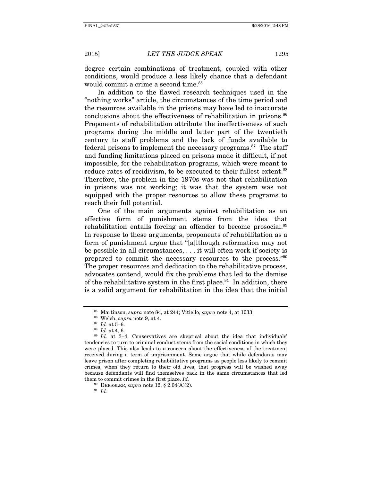degree certain combinations of treatment, coupled with other conditions, would produce a less likely chance that a defendant would commit a crime a second time.<sup>85</sup>

In addition to the flawed research techniques used in the "nothing works" article, the circumstances of the time period and the resources available in the prisons may have led to inaccurate conclusions about the effectiveness of rehabilitation in prisons.<sup>86</sup> Proponents of rehabilitation attribute the ineffectiveness of such programs during the middle and latter part of the twentieth century to staff problems and the lack of funds available to federal prisons to implement the necessary programs.<sup>87</sup> The staff and funding limitations placed on prisons made it difficult, if not impossible, for the rehabilitation programs, which were meant to reduce rates of recidivism, to be executed to their fullest extent.<sup>88</sup> Therefore, the problem in the 1970s was not that rehabilitation in prisons was not working; it was that the system was not equipped with the proper resources to allow these programs to reach their full potential.

One of the main arguments against rehabilitation as an effective form of punishment stems from the idea that rehabilitation entails forcing an offender to become prosocial.<sup>89</sup> In response to these arguments, proponents of rehabilitation as a form of punishment argue that "[a]lthough reformation may not be possible in all circumstances, . . . it will often work if society is prepared to commit the necessary resources to the process."90 The proper resources and dedication to the rehabilitative process, advocates contend, would fix the problems that led to the demise of the rehabilitative system in the first place. $91$  In addition, there is a valid argument for rehabilitation in the idea that the initial

<sup>&</sup>lt;sup>85</sup> Martinson, *supra* note 84, at 244; Vitiello, *supra* note 4, at 1033.<br><sup>86</sup> Welch, *supra* note 9, at 4.<br><sup>87</sup> Id. at 5–6.<br><sup>89</sup> Id. at 3–4. Conservatives are skeptical about the idea that individuals'

tendencies to turn to criminal conduct stems from the social conditions in which they were placed. This also leads to a concern about the effectiveness of the treatment received during a term of imprisonment. Some argue that while defendants may leave prison after completing rehabilitative programs as people less likely to commit crimes, when they return to their old lives, that progress will be washed away because defendants will find themselves back in the same circumstances that led them to commit crimes in the first place. Id.

<sup>&</sup>lt;sup>90</sup> DRESSLER, *supra* note 12, § 2.04(A)(2).<br><sup>91</sup> Id.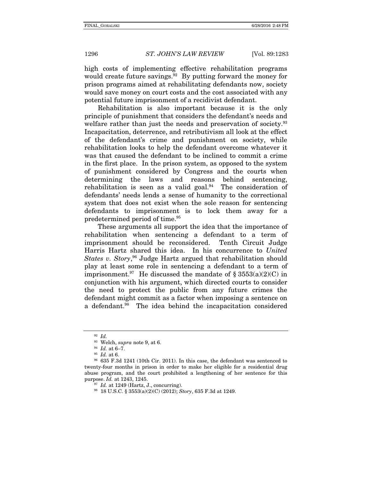high costs of implementing effective rehabilitation programs would create future savings.  $92$  By putting forward the money for prison programs aimed at rehabilitating defendants now, society would save money on court costs and the cost associated with any potential future imprisonment of a recidivist defendant.

Rehabilitation is also important because it is the only principle of punishment that considers the defendant's needs and welfare rather than just the needs and preservation of society.<sup>93</sup> Incapacitation, deterrence, and retributivism all look at the effect of the defendant's crime and punishment on society, while rehabilitation looks to help the defendant overcome whatever it was that caused the defendant to be inclined to commit a crime in the first place. In the prison system, as opposed to the system of punishment considered by Congress and the courts when determining the laws and reasons behind sentencing, rehabilitation is seen as a valid goal. $94$  The consideration of defendants' needs lends a sense of humanity to the correctional system that does not exist when the sole reason for sentencing defendants to imprisonment is to lock them away for a predetermined period of time.95

These arguments all support the idea that the importance of rehabilitation when sentencing a defendant to a term of imprisonment should be reconsidered. Tenth Circuit Judge Harris Hartz shared this idea. In his concurrence to United States v. Story,<sup>96</sup> Judge Hartz argued that rehabilitation should play at least some role in sentencing a defendant to a term of imprisonment.<sup>97</sup> He discussed the mandate of  $\S$  3553(a)(2)(C) in conjunction with his argument, which directed courts to consider the need to protect the public from any future crimes the defendant might commit as a factor when imposing a sentence on a defendant.98 The idea behind the incapacitation considered

 $\frac{92}{93}$  *Id.*<br><sup>93</sup> Welch, *supra* note 9, at 6.

<sup>&</sup>lt;sup>94</sup> Id. at 6–7.<br><sup>95</sup> Id. at 6.<br><sup>96</sup> 635 F.3d 1241 (10th Cir. 2011). In this case, the defendant was sentenced to twenty-four months in prison in order to make her eligible for a residential drug abuse program, and the court prohibited a lengthening of her sentence for this purpose. Id. at 1243, 1245.<br><sup>97</sup> Id. at 1249 (Hartz, J., concurring).<br><sup>98</sup> 18 U.S.C. § 3553(a)(2)(C) (2012); *Story*, 635 F.3d at 1249.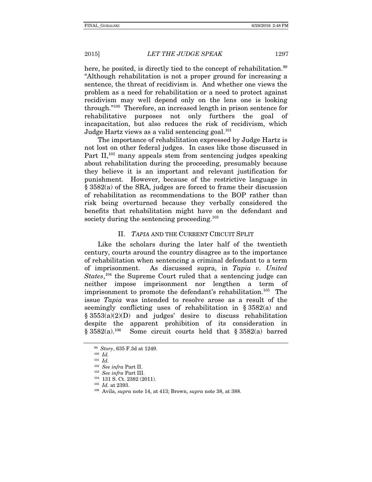here, he posited, is directly tied to the concept of rehabilitation.<sup>99</sup> "Although rehabilitation is not a proper ground for increasing a sentence, the threat of recidivism is. And whether one views the problem as a need for rehabilitation or a need to protect against recidivism may well depend only on the lens one is looking through."100 Therefore, an increased length in prison sentence for rehabilitative purposes not only furthers the goal of incapacitation, but also reduces the risk of recidivism, which Judge Hartz views as a valid sentencing goal.<sup>101</sup>

The importance of rehabilitation expressed by Judge Hartz is not lost on other federal judges. In cases like those discussed in Part  $II$ ,<sup>102</sup> many appeals stem from sentencing judges speaking about rehabilitation during the proceeding, presumably because they believe it is an important and relevant justification for punishment. However, because of the restrictive language in § 3582(a) of the SRA, judges are forced to frame their discussion of rehabilitation as recommendations to the BOP rather than risk being overturned because they verbally considered the benefits that rehabilitation might have on the defendant and society during the sentencing proceeding.<sup>103</sup>

#### II. TAPIA AND THE CURRENT CIRCUIT SPLIT

Like the scholars during the later half of the twentieth century, courts around the country disagree as to the importance of rehabilitation when sentencing a criminal defendant to a term of imprisonment. As discussed supra, in Tapia v. United States,<sup>104</sup> the Supreme Court ruled that a sentencing judge can neither impose imprisonment nor lengthen a term of imprisonment to promote the defendant's rehabilitation.<sup>105</sup> The issue Tapia was intended to resolve arose as a result of the seemingly conflicting uses of rehabilitation in § 3582(a) and  $§ 3553(a)(2)(D)$  and judges' desire to discuss rehabilitation despite the apparent prohibition of its consideration in  $\S 3582(a).^{106}$  Some circuit courts held that  $\S 3582(a)$  barred Some circuit courts held that  $§ 3582(a)$  barred

 $^{99}$  Story, 635 F.3d at 1249.<br> $^{100}$  Id.

 $101$  *Id.* 

<sup>&</sup>lt;sup>102</sup> See infra Part II.<br><sup>103</sup> See infra Part III.<br><sup>104</sup> 131 S. Ct. 2382 (2011).<br><sup>105</sup> Id. at 2393.<br><sup>106</sup> Avila, *supra* note 14, at 413; Brown, *supra* note 38, at 388.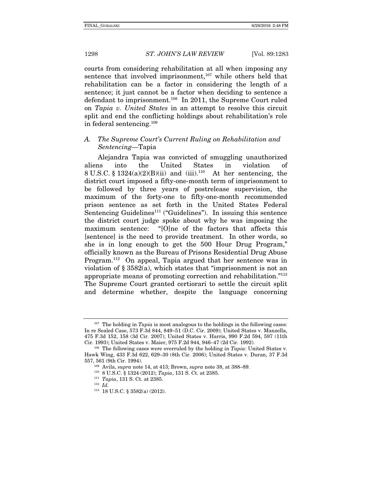courts from considering rehabilitation at all when imposing any sentence that involved imprisonment,<sup>107</sup> while others held that rehabilitation can be a factor in considering the length of a sentence; it just cannot be a factor when deciding to sentence a defendant to imprisonment.108 In 2011, the Supreme Court ruled on Tapia v. United States in an attempt to resolve this circuit split and end the conflicting holdings about rehabilitation's role in federal sentencing.109

#### A. The Supreme Court's Current Ruling on Rehabilitation and Sentencing—Tapia

Alejandra Tapia was convicted of smuggling unauthorized aliens into the United States in violation of 8 U.S.C. § 1324(a)(2)(B)(ii) and (iii).<sup>110</sup> At her sentencing, the district court imposed a fifty-one-month term of imprisonment to be followed by three years of postrelease supervision, the maximum of the forty-one to fifty-one-month recommended prison sentence as set forth in the United States Federal Sentencing Guidelines<sup>111</sup> ("Guidelines"). In issuing this sentence the district court judge spoke about why he was imposing the maximum sentence: "[O]ne of the factors that affects this [sentence] is the need to provide treatment. In other words, so she is in long enough to get the 500 Hour Drug Program," officially known as the Bureau of Prisons Residential Drug Abuse Program.112 On appeal, Tapia argued that her sentence was in violation of § 3582(a), which states that "imprisonment is not an appropriate means of promoting correction and rehabilitation."113 The Supreme Court granted certiorari to settle the circuit split and determine whether, despite the language concerning

 $107$  The holding in Tapia is most analogous to the holdings in the following cases: In re Sealed Case, 573 F.3d 844, 849–51 (D.C. Cir. 2009); United States v. Manzella, 475 F.3d 152, 158 (3d Cir. 2007); United States v. Harris, 990 F.2d 594, 597 (11th Cir. 1993); United States v. Maier, 975 F.2d 944, 946–47 (2d Cir. 1992). <sup>108</sup> The following cases were overruled by the holding in *Tapia*: United States v.

Hawk Wing, 433 F.3d 622, 629–30 (8th Cir. 2006); United States v. Duran, 37 F.3d 557, 561 (9th Cir. 1994).<br><sup>109</sup> Avila, *supra* note 14, at 413; Brown, *supra* note 38, at 388–89.<br><sup>110</sup> 8 U.S.C. § 1324 (2012); *Tapia*, 131 S. Ct. at 2385.<br><sup>111</sup> *Tapia*, 131 S. Ct. at 2385.<br><sup>112</sup> *Id.* 

<sup>113</sup> 18 U.S.C. § 3582(a) (2012).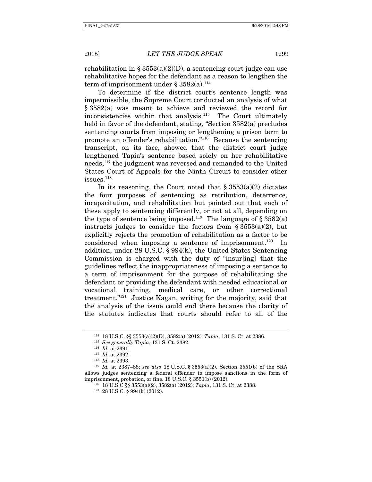rehabilitation in  $\S$  3553(a)(2)(D), a sentencing court judge can use rehabilitative hopes for the defendant as a reason to lengthen the term of imprisonment under  $\S 3582(a).$ <sup>114</sup>

To determine if the district court's sentence length was impermissible, the Supreme Court conducted an analysis of what § 3582(a) was meant to achieve and reviewed the record for inconsistencies within that analysis.115 The Court ultimately held in favor of the defendant, stating, "Section 3582(a) precludes sentencing courts from imposing or lengthening a prison term to promote an offender's rehabilitation."116 Because the sentencing transcript, on its face, showed that the district court judge lengthened Tapia's sentence based solely on her rehabilitative needs,117 the judgment was reversed and remanded to the United States Court of Appeals for the Ninth Circuit to consider other  $issues.$ <sup>118</sup>

In its reasoning, the Court noted that  $\delta$  3553(a)(2) dictates the four purposes of sentencing as retribution, deterrence, incapacitation, and rehabilitation but pointed out that each of these apply to sentencing differently, or not at all, depending on the type of sentence being imposed.<sup>119</sup> The language of  $\S 3582(a)$ instructs judges to consider the factors from  $\S 3553(a)(2)$ , but explicitly rejects the promotion of rehabilitation as a factor to be considered when imposing a sentence of imprisonment.<sup>120</sup> In addition, under 28 U.S.C. § 994(k), the United States Sentencing Commission is charged with the duty of "insur[ing] that the guidelines reflect the inappropriateness of imposing a sentence to a term of imprisonment for the purpose of rehabilitating the defendant or providing the defendant with needed educational or vocational training, medical care, or other correctional treatment."121 Justice Kagan, writing for the majority, said that the analysis of the issue could end there because the clarity of the statutes indicates that courts should refer to all of the

<sup>&</sup>lt;sup>114</sup> 18 U.S.C. §§ 3553(a)(2)(D), 3582(a) (2012); *Tapia*, 131 S. Ct. at 2386.<br><sup>115</sup> *See generally Tapia*, 131 S. Ct. 2382.<br><sup>116</sup> *Id.* at 2391.<br><sup>117</sup> *Id.* at 2392.<br><sup>118</sup> *Id.* at 2387–88; *see also* 18 U.S.C. § 3553(a) allows judges sentencing a federal offender to impose sanctions in the form of imprisonment, probation, or fine. 18 U.S.C. § 3551(b) (2012).<br><sup>120</sup> 18 U.S.C §§ 3553(a)(2), 3582(a) (2012); *Tapia*, 131 S. Ct. at 2388.<br><sup>121</sup> 28 U.S.C. § 994(k) (2012).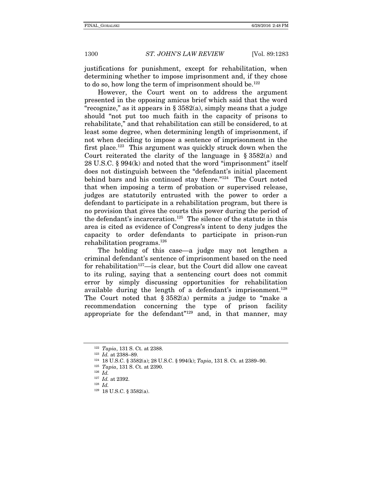justifications for punishment, except for rehabilitation, when determining whether to impose imprisonment and, if they chose to do so, how long the term of imprisonment should be.<sup>122</sup>

However, the Court went on to address the argument presented in the opposing amicus brief which said that the word "recognize," as it appears in  $\S 3582(a)$ , simply means that a judge should "not put too much faith in the capacity of prisons to rehabilitate," and that rehabilitation can still be considered, to at least some degree, when determining length of imprisonment, if not when deciding to impose a sentence of imprisonment in the first place.<sup>123</sup> This argument was quickly struck down when the Court reiterated the clarity of the language in § 3582(a) and 28 U.S.C. § 994(k) and noted that the word "imprisonment" itself does not distinguish between the "defendant's initial placement behind bars and his continued stay there."124 The Court noted that when imposing a term of probation or supervised release, judges are statutorily entrusted with the power to order a defendant to participate in a rehabilitation program, but there is no provision that gives the courts this power during the period of the defendant's incarceration.<sup>125</sup> The silence of the statute in this area is cited as evidence of Congress's intent to deny judges the capacity to order defendants to participate in prison-run rehabilitation programs.126

The holding of this case—a judge may not lengthen a criminal defendant's sentence of imprisonment based on the need for rehabilitation<sup>127</sup>—is clear, but the Court did allow one caveat to its ruling, saying that a sentencing court does not commit error by simply discussing opportunities for rehabilitation available during the length of a defendant's imprisonment.<sup>128</sup> The Court noted that  $\S 3582(a)$  permits a judge to "make a recommendation concerning the type of prison facility appropriate for the defendant<sup> $n_{129}$ </sup> and, in that manner, may

<sup>&</sup>lt;sup>122</sup> Tapia, 131 S. Ct. at 2388.<br><sup>123</sup> Id. at 2388–89.<br><sup>124</sup> 18 U.S.C. § 3582(a); 28 U.S.C. § 994(k); Tapia, 131 S. Ct. at 2389–90.<br><sup>125</sup> Tapia, 131 S. Ct. at 2390.<br><sup>126</sup> Id.

 $\frac{127}{128}$  *Id.* at 2392.

<sup>129</sup> 18 U.S.C. § 3582(a).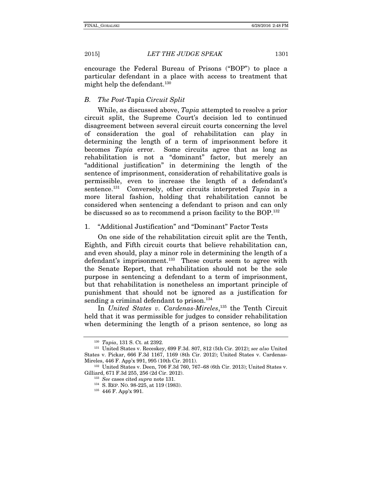encourage the Federal Bureau of Prisons ("BOP") to place a particular defendant in a place with access to treatment that might help the defendant.<sup>130</sup>

#### B. The Post-Tapia Circuit Split

While, as discussed above, *Tapia* attempted to resolve a prior circuit split, the Supreme Court's decision led to continued disagreement between several circuit courts concerning the level of consideration the goal of rehabilitation can play in determining the length of a term of imprisonment before it becomes Tapia error. Some circuits agree that as long as rehabilitation is not a "dominant" factor, but merely an "additional justification" in determining the length of the sentence of imprisonment, consideration of rehabilitative goals is permissible, even to increase the length of a defendant's sentence.<sup>131</sup> Conversely, other circuits interpreted  $Tapia$  in a more literal fashion, holding that rehabilitation cannot be considered when sentencing a defendant to prison and can only be discussed so as to recommend a prison facility to the BOP.132

#### 1. "Additional Justification" and "Dominant" Factor Tests

On one side of the rehabilitation circuit split are the Tenth, Eighth, and Fifth circuit courts that believe rehabilitation can, and even should, play a minor role in determining the length of a defendant's imprisonment.<sup>133</sup> These courts seem to agree with the Senate Report, that rehabilitation should not be the sole purpose in sentencing a defendant to a term of imprisonment, but that rehabilitation is nonetheless an important principle of punishment that should not be ignored as a justification for sending a criminal defendant to prison.<sup>134</sup>

In United States v. Cardenas-Mireles, 135 the Tenth Circuit held that it was permissible for judges to consider rehabilitation when determining the length of a prison sentence, so long as

<sup>&</sup>lt;sup>130</sup> Tapia, 131 S. Ct. at 2392.<br><sup>131</sup> United States v. Receskey, 699 F.3d. 807, 812 (5th Cir. 2012); see also United States v. Pickar, 666 F.3d 1167, 1169 (8th Cir. 2012); United States v. Cardenas-Mireles, 446 F. App'x 991, 995 (10th Cir. 2011). 132 United States v. Deen, 706 F.3d 760, 767–68 (6th Cir. 2013); United States v.

Gilliard, 671 F.3d 255, 256 (2d Cir. 2012).<br>
<sup>133</sup> See cases cited supra note 131.<br>
<sup>134</sup> S. REP. NO. 98-225, at 119 (1983).<br>
<sup>135</sup> 446 F. App'x 991.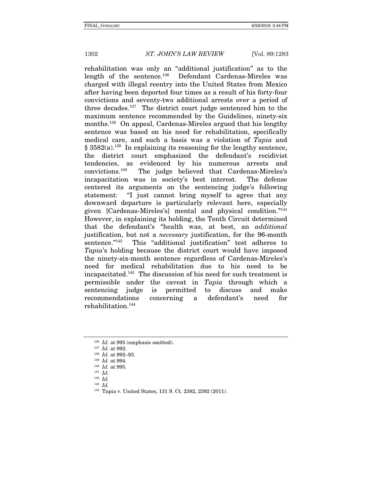rehabilitation was only an "additional justification" as to the length of the sentence.<sup>136</sup> Defendant Cardenas-Mireles was charged with illegal reentry into the United States from Mexico after having been deported four times as a result of his forty-four convictions and seventy-two additional arrests over a period of three decades.137 The district court judge sentenced him to the maximum sentence recommended by the Guidelines, ninety-six months.<sup>138</sup> On appeal, Cardenas-Mireles argued that his lengthy sentence was based on his need for rehabilitation, specifically medical care, and such a basis was a violation of Tapia and  $§ 3582(a).$ <sup>139</sup> In explaining its reasoning for the lengthy sentence, the district court emphasized the defendant's recidivist tendencies, as evidenced by his numerous arrests and convictions.140 The judge believed that Cardenas-Mireles's incapacitation was in society's best interest. The defense centered its arguments on the sentencing judge's following statement: "I just cannot bring myself to agree that any downward departure is particularly relevant here, especially given [Cardenas-Mireles's] mental and physical condition."141 However, in explaining its holding, the Tenth Circuit determined that the defendant's "health was, at best, an additional justification, but not a necessary justification, for the 96-month sentence."<sup>142</sup> This "additional justification" test adheres to Tapia's holding because the district court would have imposed the ninety-six-month sentence regardless of Cardenas-Mireles's need for medical rehabilitation due to his need to be incapacitated.143 The discussion of his need for such treatment is permissible under the caveat in Tapia through which a sentencing judge is permitted to discuss and make recommendations concerning a defendant's need for rehabilitation.144

<sup>&</sup>lt;sup>136</sup> *Id.* at 995 (emphasis omitted).<br><sup>137</sup> *Id.* at 992.<br><sup>138</sup> *Id.* at 992–93.<br><sup>139</sup> *Id.* at 994.<br><sup>140</sup> *Id.* at 995.<br><sup>141</sup> *Id.* 

 $142$  *Id.* 

 $143$  *Id.* 

<sup>144</sup> Tapia v. United States, 131 S. Ct. 2382, 2392 (2011).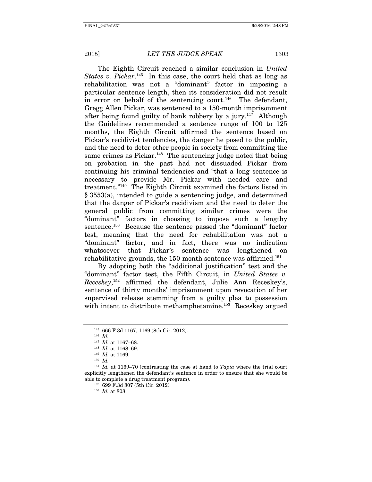The Eighth Circuit reached a similar conclusion in United States v. Pickar.<sup>145</sup> In this case, the court held that as long as rehabilitation was not a "dominant" factor in imposing a particular sentence length, then its consideration did not result in error on behalf of the sentencing court.<sup>146</sup> The defendant, Gregg Allen Pickar, was sentenced to a 150-month imprisonment after being found guilty of bank robbery by a jury.147 Although the Guidelines recommended a sentence range of 100 to 125 months, the Eighth Circuit affirmed the sentence based on Pickar's recidivist tendencies, the danger he posed to the public, and the need to deter other people in society from committing the same crimes as  $Pickar.<sup>148</sup>$  The sentencing judge noted that being on probation in the past had not dissuaded Pickar from continuing his criminal tendencies and "that a long sentence is necessary to provide Mr. Pickar with needed care and treatment."149 The Eighth Circuit examined the factors listed in § 3553(a), intended to guide a sentencing judge, and determined that the danger of Pickar's recidivism and the need to deter the general public from committing similar crimes were the "dominant" factors in choosing to impose such a lengthy sentence.150 Because the sentence passed the "dominant" factor test, meaning that the need for rehabilitation was not a "dominant" factor, and in fact, there was no indication whatsoever that Pickar's sentence was lengthened on rehabilitative grounds, the 150-month sentence was affirmed.<sup>151</sup>

By adopting both the "additional justification" test and the "dominant" factor test, the Fifth Circuit, in United States v. Receskey, 152 affirmed the defendant, Julie Ann Receskey's, sentence of thirty months' imprisonment upon revocation of her supervised release stemming from a guilty plea to possession with intent to distribute methamphetamine.<sup>153</sup> Receskey argued

 $^{145}$  666 F.3d 1167, 1169 (8th Cir. 2012).  $^{146}$   $Id.$   $^{147}$   $Id.$  at 1167–68.

<sup>&</sup>lt;sup>148</sup> Id. at 1168–69.<br><sup>149</sup> Id. at 1169.<br><sup>150</sup> Id.

 $151$  Id. at 1169–70 (contrasting the case at hand to Tapia where the trial court explicitly lengthened the defendant's sentence in order to ensure that she would be able to complete a drug treatment program).<br>  $^{152}$  699 F.3d 807 (5th Cir. 2012).<br>  $^{153}$  Id. at 808.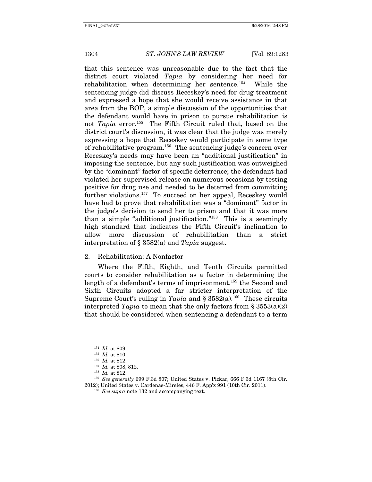that this sentence was unreasonable due to the fact that the district court violated *Tapia* by considering her need for rehabilitation when determining her sentence.154 While the sentencing judge did discuss Receskey's need for drug treatment and expressed a hope that she would receive assistance in that area from the BOP, a simple discussion of the opportunities that the defendant would have in prison to pursue rehabilitation is not Tapia error.<sup>155</sup> The Fifth Circuit ruled that, based on the district court's discussion, it was clear that the judge was merely expressing a hope that Receskey would participate in some type of rehabilitative program.156 The sentencing judge's concern over Receskey's needs may have been an "additional justification" in imposing the sentence, but any such justification was outweighed by the "dominant" factor of specific deterrence; the defendant had violated her supervised release on numerous occasions by testing positive for drug use and needed to be deterred from committing further violations.<sup>157</sup> To succeed on her appeal, Receskey would have had to prove that rehabilitation was a "dominant" factor in the judge's decision to send her to prison and that it was more than a simple "additional justification."158 This is a seemingly high standard that indicates the Fifth Circuit's inclination to allow more discussion of rehabilitation than a strict interpretation of § 3582(a) and Tapia suggest.

#### 2. Rehabilitation: A Nonfactor

Where the Fifth, Eighth, and Tenth Circuits permitted courts to consider rehabilitation as a factor in determining the length of a defendant's terms of imprisonment,<sup>159</sup> the Second and Sixth Circuits adopted a far stricter interpretation of the Supreme Court's ruling in Tapia and §  $3582(a)$ .<sup>160</sup> These circuits interpreted Tapia to mean that the only factors from  $\S 3553(a)(2)$ that should be considered when sentencing a defendant to a term

<sup>&</sup>lt;sup>154</sup> *Id.* at 809.<br>
<sup>155</sup> *Id.* at 810.<br>
<sup>156</sup> *Id.* at 812.<br>
<sup>158</sup> *Id.* at 812.<br>
<sup>158</sup> See generally 699 F.3d 807; United States v. Pickar, 666 F.3d 1167 (8th Cir.

<sup>2012);</sup> United States v. Cardenas-Mireles, 446 F. App'x 991 (10th Cir. 2011). <sup>160</sup> See supra note 132 and accompanying text.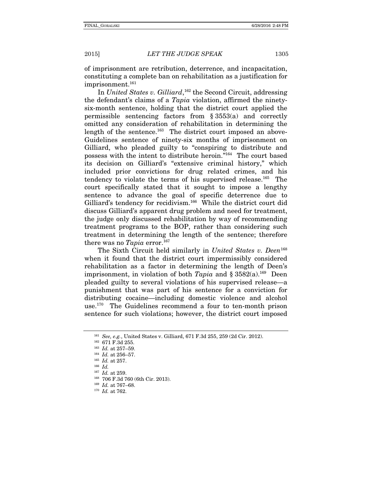of imprisonment are retribution, deterrence, and incapacitation, constituting a complete ban on rehabilitation as a justification for imprisonment.<sup>161</sup>

In United States v. Gilliard,<sup>162</sup> the Second Circuit, addressing the defendant's claims of a Tapia violation, affirmed the ninetysix-month sentence, holding that the district court applied the permissible sentencing factors from § 3553(a) and correctly omitted any consideration of rehabilitation in determining the length of the sentence.<sup>163</sup> The district court imposed an above-Guidelines sentence of ninety-six months of imprisonment on Gilliard, who pleaded guilty to "conspiring to distribute and possess with the intent to distribute heroin."164 The court based its decision on Gilliard's "extensive criminal history," which included prior convictions for drug related crimes, and his tendency to violate the terms of his supervised release.<sup>165</sup> The court specifically stated that it sought to impose a lengthy sentence to advance the goal of specific deterrence due to Gilliard's tendency for recidivism.<sup>166</sup> While the district court did discuss Gilliard's apparent drug problem and need for treatment, the judge only discussed rehabilitation by way of recommending treatment programs to the BOP, rather than considering such treatment in determining the length of the sentence; therefore there was no Tapia error.<sup>167</sup>

The Sixth Circuit held similarly in United States v. Deen<sup>168</sup> when it found that the district court impermissibly considered rehabilitation as a factor in determining the length of Deen's imprisonment, in violation of both  $Tapia$  and § 3582(a).<sup>169</sup> Deen pleaded guilty to several violations of his supervised release—a punishment that was part of his sentence for a conviction for distributing cocaine—including domestic violence and alcohol use.170 The Guidelines recommend a four to ten-month prison sentence for such violations; however, the district court imposed

<sup>&</sup>lt;sup>161</sup> See, e.g., United States v. Gilliard, 671 F.3d 255, 259 (2d Cir. 2012).<br><sup>162</sup> 671 F.3d 255.<br><sup>163</sup> Id. at 257–59.<br><sup>164</sup> Id. at 256–57.<br><sup>165</sup> Id. at 257.

<sup>&</sup>lt;sup>167</sup> *Id.* at 259.<br><sup>168</sup> 706 F.3d 760 (6th Cir. 2013).<br><sup>169</sup> *Id.* at 767–68.<br><sup>170</sup> *Id.* at 762.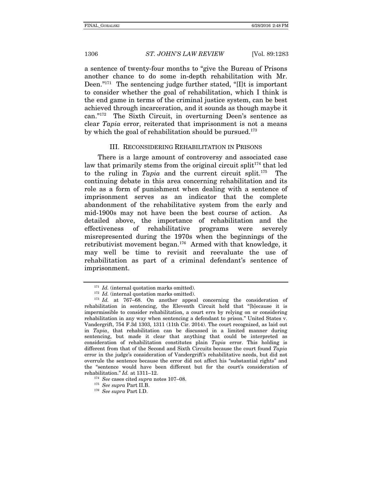a sentence of twenty-four months to "give the Bureau of Prisons another chance to do some in-depth rehabilitation with Mr. Deen."<sup>171</sup> The sentencing judge further stated, "IIt is important to consider whether the goal of rehabilitation, which I think is the end game in terms of the criminal justice system, can be best achieved through incarceration, and it sounds as though maybe it can."172 The Sixth Circuit, in overturning Deen's sentence as clear Tapia error, reiterated that imprisonment is not a means by which the goal of rehabilitation should be pursued.<sup>173</sup>

#### III. RECONSIDERING REHABILITATION IN PRISONS

There is a large amount of controversy and associated case law that primarily stems from the original circuit split<sup>174</sup> that led to the ruling in  $Tavia$  and the current circuit split.<sup>175</sup> The continuing debate in this area concerning rehabilitation and its role as a form of punishment when dealing with a sentence of imprisonment serves as an indicator that the complete abandonment of the rehabilitative system from the early and mid-1900s may not have been the best course of action. As detailed above, the importance of rehabilitation and the effectiveness of rehabilitative programs were severely misrepresented during the 1970s when the beginnings of the retributivist movement began.176 Armed with that knowledge, it may well be time to revisit and reevaluate the use of rehabilitation as part of a criminal defendant's sentence of imprisonment.

<sup>&</sup>lt;sup>171</sup> Id. (internal quotation marks omitted).<br><sup>172</sup> Id. (internal quotation marks omitted).<br><sup>173</sup> Id. at 767–68. On another appeal concerning the consideration of rehabilitation in sentencing, the Eleventh Circuit held that "[b]ecause it is impermissible to consider rehabilitation, a court errs by relying on or considering rehabilitation in any way when sentencing a defendant to prison." United States v. Vandergrift, 754 F.3d 1303, 1311 (11th Cir. 2014). The court recognized, as laid out in Tapia, that rehabilitation can be discussed in a limited manner during sentencing, but made it clear that anything that could be interpreted as consideration of rehabilitation constitutes plain Tapia error. This holding is different from that of the Second and Sixth Circuits because the court found Tapia error in the judge's consideration of Vandergrift's rehabilitative needs, but did not overrule the sentence because the error did not affect his "substantial rights" and the "sentence would have been different but for the court's consideration of rehabilitation." Id. at 1311–12.<br>
<sup>174</sup> See cases cited *supra* notes 107–08.<br>
<sup>175</sup> See supra Part I.D.<br>
<sup>176</sup> See supra Part I.D.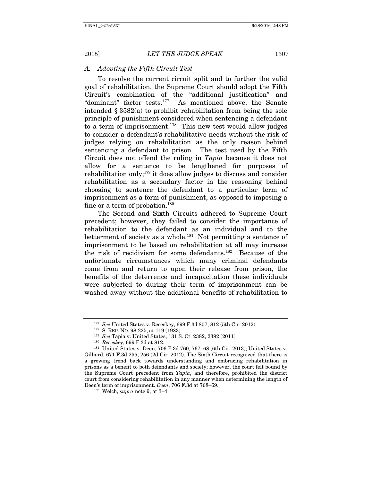#### A. Adopting the Fifth Circuit Test

To resolve the current circuit split and to further the valid goal of rehabilitation, the Supreme Court should adopt the Fifth Circuit's combination of the "additional justification" and "dominant" factor tests.177 As mentioned above, the Senate intended § 3582(a) to prohibit rehabilitation from being the sole principle of punishment considered when sentencing a defendant to a term of imprisonment.<sup>178</sup> This new test would allow judges to consider a defendant's rehabilitative needs without the risk of judges relying on rehabilitation as the only reason behind sentencing a defendant to prison. The test used by the Fifth Circuit does not offend the ruling in Tapia because it does not allow for a sentence to be lengthened for purposes of rehabilitation only;179 it does allow judges to discuss and consider rehabilitation as a secondary factor in the reasoning behind choosing to sentence the defendant to a particular term of imprisonment as a form of punishment, as opposed to imposing a fine or a term of probation.<sup>180</sup>

The Second and Sixth Circuits adhered to Supreme Court precedent; however, they failed to consider the importance of rehabilitation to the defendant as an individual and to the betterment of society as a whole.<sup>181</sup> Not permitting a sentence of imprisonment to be based on rehabilitation at all may increase the risk of recidivism for some defendants.182 Because of the unfortunate circumstances which many criminal defendants come from and return to upon their release from prison, the benefits of the deterrence and incapacitation these individuals were subjected to during their term of imprisonment can be washed away without the additional benefits of rehabilitation to

<sup>&</sup>lt;sup>177</sup> See United States v. Receskey, 699 F.3d 807, 812 (5th Cir. 2012).<br><sup>178</sup> S. REP. NO. 98-225, at 119 (1983).<br><sup>179</sup> See Tapia v. United States, 131 S. Ct. 2382, 2392 (2011).<br><sup>180</sup> Receskey, 699 F.3d at 812.<br><sup>181</sup> Unite Gilliard, 671 F.3d 255, 256 (2d Cir. 2012). The Sixth Circuit recognized that there is a growing trend back towards understanding and embracing rehabilitation in prisons as a benefit to both defendants and society; however, the court felt bound by the Supreme Court precedent from Tapia, and therefore, prohibited the district court from considering rehabilitation in any manner when determining the length of Deen's term of imprisonment. *Deen*, 706 F.3d at 768–69.<br><sup>182</sup> Welch, *supra* note 9, at 3–4.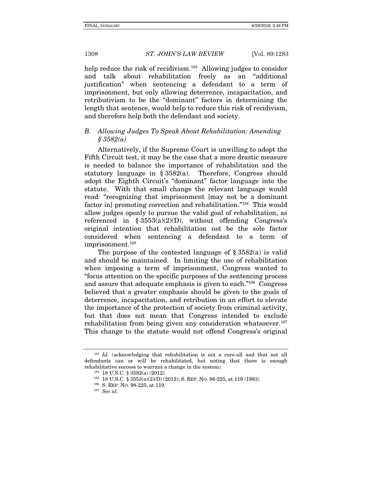help reduce the risk of recidivism.<sup>183</sup> Allowing judges to consider and talk about rehabilitation freely as an "additional justification" when sentencing a defendant to a term of imprisonment, but only allowing deterrence, incapacitation, and retributivism to be the "dominant" factors in determining the length that sentence, would help to reduce this risk of recidivism, and therefore help both the defendant and society.

#### B. Allowing Judges To Speak About Rehabilitation: Amending  $$3582(a)$

Alternatively, if the Supreme Court is unwilling to adopt the Fifth Circuit test, it may be the case that a more drastic measure is needed to balance the importance of rehabilitation and the statutory language in § 3582(a). Therefore, Congress should adopt the Eighth Circuit's "dominant" factor language into the statute. With that small change the relevant language would read: "recognizing that imprisonment [may not be a dominant factor inl promoting correction and rehabilitation."<sup>184</sup> This would allow judges openly to pursue the valid goal of rehabilitation, as referenced in  $\S 3553(a)(2)(D)$ , without offending Congress's original intention that rehabilitation not be the sole factor considered when sentencing a defendant to a term of imprisonment.<sup>185</sup>

The purpose of the contested language of § 3582(a) is valid and should be maintained. In limiting the use of rehabilitation when imposing a term of imprisonment, Congress wanted to "focus attention on the specific purposes of the sentencing process and assure that adequate emphasis is given to each."186 Congress believed that a greater emphasis should be given to the goals of deterrence, incapacitation, and retribution in an effort to elevate the importance of the protection of society from criminal activity, but that does not mean that Congress intended to exclude rehabilitation from being given any consideration whatsoever.<sup>187</sup> This change to the statute would not offend Congress's original

 $183$  Id. (acknowledging that rehabilitation is not a cure-all and that not all defendants can or will be rehabilitated, but noting that there is enough rehabilitative success to warrant a change in the system).<br><sup>184</sup> 18 U.S.C. § 3582(a) (2012).<br><sup>185</sup> 18 U.S.C. § 3553(a)(2)(D) (2012); S. REP. NO. 98-225, at 119 (1983).<br><sup>186</sup> S. REP. NO. 98-225, at 119.<br><sup>187</sup> See id.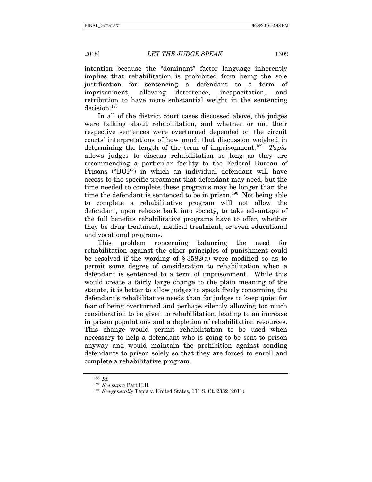intention because the "dominant" factor language inherently

implies that rehabilitation is prohibited from being the sole justification for sentencing a defendant to a term of imprisonment, allowing deterrence, incapacitation, and retribution to have more substantial weight in the sentencing decision.<sup>188</sup>

In all of the district court cases discussed above, the judges were talking about rehabilitation, and whether or not their respective sentences were overturned depended on the circuit courts' interpretations of how much that discussion weighed in determining the length of the term of imprisonment.<sup>189</sup> Tapia allows judges to discuss rehabilitation so long as they are recommending a particular facility to the Federal Bureau of Prisons ("BOP") in which an individual defendant will have access to the specific treatment that defendant may need, but the time needed to complete these programs may be longer than the time the defendant is sentenced to be in prison.<sup>190</sup> Not being able to complete a rehabilitative program will not allow the defendant, upon release back into society, to take advantage of the full benefits rehabilitative programs have to offer, whether they be drug treatment, medical treatment, or even educational and vocational programs.

This problem concerning balancing the need for rehabilitation against the other principles of punishment could be resolved if the wording of  $\S 3582(a)$  were modified so as to permit some degree of consideration to rehabilitation when a defendant is sentenced to a term of imprisonment. While this would create a fairly large change to the plain meaning of the statute, it is better to allow judges to speak freely concerning the defendant's rehabilitative needs than for judges to keep quiet for fear of being overturned and perhaps silently allowing too much consideration to be given to rehabilitation, leading to an increase in prison populations and a depletion of rehabilitation resources. This change would permit rehabilitation to be used when necessary to help a defendant who is going to be sent to prison anyway and would maintain the prohibition against sending defendants to prison solely so that they are forced to enroll and complete a rehabilitative program.

<sup>188</sup> Id.

<sup>&</sup>lt;sup>189</sup> See supra Part II.B.<br><sup>190</sup> See generally Tapia v. United States, 131 S. Ct. 2382 (2011).